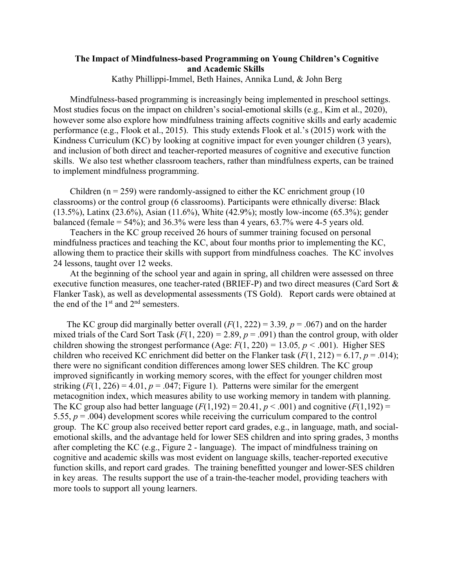## **The Impact of Mindfulness-based Programming on Young Children's Cognitive and Academic Skills**

Kathy Phillippi-Immel, Beth Haines, Annika Lund, & John Berg

Mindfulness-based programming is increasingly being implemented in preschool settings. Most studies focus on the impact on children's social-emotional skills (e.g., Kim et al., 2020), however some also explore how mindfulness training affects cognitive skills and early academic performance (e.g., Flook et al., 2015). This study extends Flook et al.'s (2015) work with the Kindness Curriculum (KC) by looking at cognitive impact for even younger children (3 years), and inclusion of both direct and teacher-reported measures of cognitive and executive function skills. We also test whether classroom teachers, rather than mindfulness experts, can be trained to implement mindfulness programming.

Children ( $n = 259$ ) were randomly-assigned to either the KC enrichment group (10) classrooms) or the control group (6 classrooms). Participants were ethnically diverse: Black (13.5%), Latinx (23.6%), Asian (11.6%), White (42.9%); mostly low-income (65.3%); gender balanced (female  $= 54\%$ ); and 36.3% were less than 4 years, 63.7% were 4-5 years old.

Teachers in the KC group received 26 hours of summer training focused on personal mindfulness practices and teaching the KC, about four months prior to implementing the KC, allowing them to practice their skills with support from mindfulness coaches. The KC involves 24 lessons, taught over 12 weeks.

At the beginning of the school year and again in spring, all children were assessed on three executive function measures, one teacher-rated (BRIEF-P) and two direct measures (Card Sort & Flanker Task), as well as developmental assessments (TS Gold). Report cards were obtained at the end of the  $1<sup>st</sup>$  and  $2<sup>nd</sup>$  semesters.

The KC group did marginally better overall  $(F(1, 222) = 3.39, p = .067)$  and on the harder mixed trials of the Card Sort Task  $(F(1, 220) = 2.89, p = .091)$  than the control group, with older children showing the strongest performance (Age:  $F(1, 220) = 13.05$ ,  $p < .001$ ). Higher SES children who received KC enrichment did better on the Flanker task  $(F(1, 212) = 6.17, p = .014)$ ; there were no significant condition differences among lower SES children. The KC group improved significantly in working memory scores, with the effect for younger children most striking  $(F(1, 226) = 4.01, p = .047$ ; Figure 1). Patterns were similar for the emergent metacognition index, which measures ability to use working memory in tandem with planning. The KC group also had better language  $(F(1,192) = 20.41, p < .001)$  and cognitive  $(F(1,192) =$ 5.55, *p* = .004) development scores while receiving the curriculum compared to the control group. The KC group also received better report card grades, e.g., in language, math, and socialemotional skills, and the advantage held for lower SES children and into spring grades, 3 months after completing the KC (e.g., Figure 2 - language). The impact of mindfulness training on cognitive and academic skills was most evident on language skills, teacher-reported executive function skills, and report card grades. The training benefitted younger and lower-SES children in key areas. The results support the use of a train-the-teacher model, providing teachers with more tools to support all young learners.